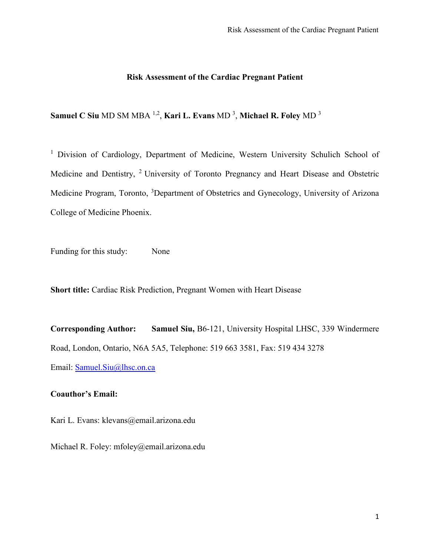### **Risk Assessment of the Cardiac Pregnant Patient**

**Samuel C Siu** MD SM MBA 1,2 , **Kari L. Evans** MD 3 , **Michael R. Foley** MD 3

<sup>1</sup> Division of Cardiology, Department of Medicine, Western University Schulich School of Medicine and Dentistry, 2 University of Toronto Pregnancy and Heart Disease and Obstetric Medicine Program, Toronto, <sup>3</sup>Department of Obstetrics and Gynecology, University of Arizona College of Medicine Phoenix.

Funding for this study: None

**Short title:** Cardiac Risk Prediction, Pregnant Women with Heart Disease

**Corresponding Author: Samuel Siu,** B6-121, University Hospital LHSC, 339 Windermere Road, London, Ontario, N6A 5A5, Telephone: 519 663 3581, Fax: 519 434 3278 Email: [Samuel.Siu@lhsc.on.ca](mailto:Samuel.Siu@lhsc.on.ca)

# **Coauthor's Email:**

Kari L. Evans: klevans@email.arizona.edu

Michael R. Foley: mfoley@email.arizona.edu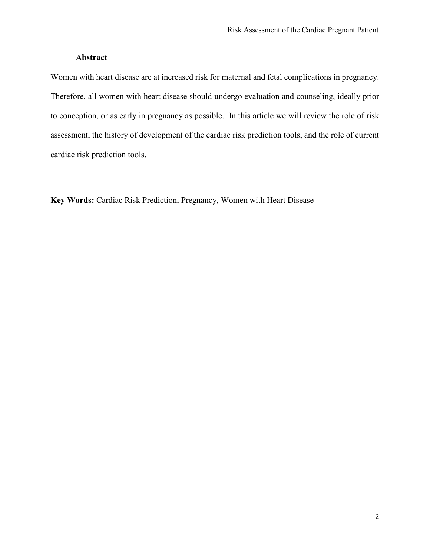## **Abstract**

Women with heart disease are at increased risk for maternal and fetal complications in pregnancy. Therefore, all women with heart disease should undergo evaluation and counseling, ideally prior to conception, or as early in pregnancy as possible. In this article we will review the role of risk assessment, the history of development of the cardiac risk prediction tools, and the role of current cardiac risk prediction tools.

**Key Words:** Cardiac Risk Prediction, Pregnancy, Women with Heart Disease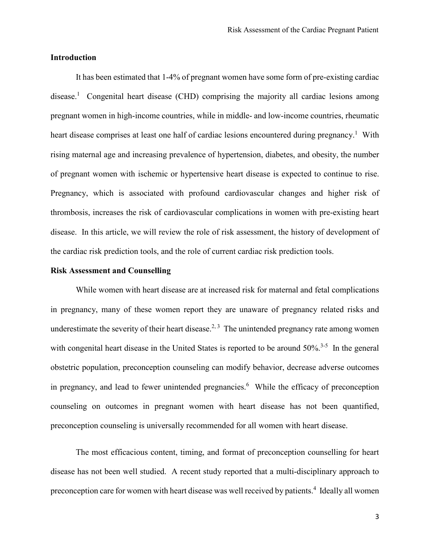## **Introduction**

It has been estimated that 1-4% of pregnant women have some form of pre-existing cardiac disease.<sup>1</sup> Congenital heart disease (CHD) comprising the majority all cardiac lesions among pregnant women in high-income countries, while in middle- and low-income countries, rheumatic heart disease comprises at least one half of cardiac lesions encountered during pregnancy.<sup>1</sup> With rising maternal age and increasing prevalence of hypertension, diabetes, and obesity, the number of pregnant women with ischemic or hypertensive heart disease is expected to continue to rise. Pregnancy, which is associated with profound cardiovascular changes and higher risk of thrombosis, increases the risk of cardiovascular complications in women with pre-existing heart disease. In this article, we will review the role of risk assessment, the history of development of the cardiac risk prediction tools, and the role of current cardiac risk prediction tools.

#### **Risk Assessment and Counselling**

While women with heart disease are at increased risk for maternal and fetal complications in pregnancy, many of these women report they are unaware of pregnancy related risks and underestimate the severity of their heart disease.<sup>2, 3</sup> The unintended pregnancy rate among women with congenital heart disease in the United States is reported to be around 50%.<sup>3-5</sup> In the general obstetric population, preconception counseling can modify behavior, decrease adverse outcomes in pregnancy, and lead to fewer unintended pregnancies.<sup>6</sup> While the efficacy of preconception counseling on outcomes in pregnant women with heart disease has not been quantified, preconception counseling is universally recommended for all women with heart disease.

The most efficacious content, timing, and format of preconception counselling for heart disease has not been well studied. A recent study reported that a multi-disciplinary approach to preconception care for women with heart disease was well received by patients.<sup>4</sup> Ideally all women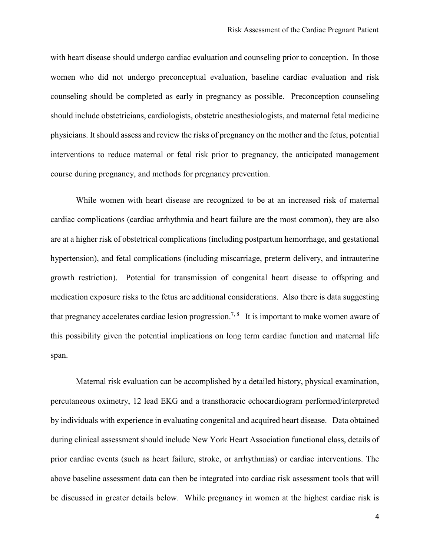with heart disease should undergo cardiac evaluation and counseling prior to conception. In those women who did not undergo preconceptual evaluation, baseline cardiac evaluation and risk counseling should be completed as early in pregnancy as possible. Preconception counseling should include obstetricians, cardiologists, obstetric anesthesiologists, and maternal fetal medicine physicians. It should assess and review the risks of pregnancy on the mother and the fetus, potential interventions to reduce maternal or fetal risk prior to pregnancy, the anticipated management course during pregnancy, and methods for pregnancy prevention.

While women with heart disease are recognized to be at an increased risk of maternal cardiac complications (cardiac arrhythmia and heart failure are the most common), they are also are at a higher risk of obstetrical complications (including postpartum hemorrhage, and gestational hypertension), and fetal complications (including miscarriage, preterm delivery, and intrauterine growth restriction). Potential for transmission of congenital heart disease to offspring and medication exposure risks to the fetus are additional considerations. Also there is data suggesting that pregnancy accelerates cardiac lesion progression.<sup>7,8</sup> It is important to make women aware of this possibility given the potential implications on long term cardiac function and maternal life span.

Maternal risk evaluation can be accomplished by a detailed history, physical examination, percutaneous oximetry, 12 lead EKG and a transthoracic echocardiogram performed/interpreted by individuals with experience in evaluating congenital and acquired heart disease. Data obtained during clinical assessment should include New York Heart Association functional class, details of prior cardiac events (such as heart failure, stroke, or arrhythmias) or cardiac interventions. The above baseline assessment data can then be integrated into cardiac risk assessment tools that will be discussed in greater details below. While pregnancy in women at the highest cardiac risk is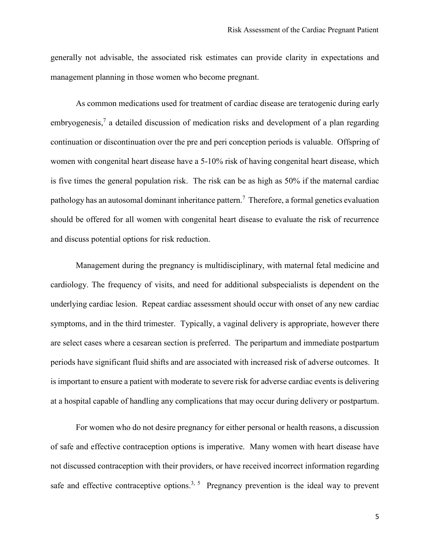generally not advisable, the associated risk estimates can provide clarity in expectations and management planning in those women who become pregnant.

As common medications used for treatment of cardiac disease are teratogenic during early embryogenesis,<sup>7</sup> a detailed discussion of medication risks and development of a plan regarding continuation or discontinuation over the pre and peri conception periods is valuable. Offspring of women with congenital heart disease have a 5-10% risk of having congenital heart disease, which is five times the general population risk. The risk can be as high as 50% if the maternal cardiac pathology has an autosomal dominant inheritance pattern.<sup>7</sup> Therefore, a formal genetics evaluation should be offered for all women with congenital heart disease to evaluate the risk of recurrence and discuss potential options for risk reduction.

Management during the pregnancy is multidisciplinary, with maternal fetal medicine and cardiology. The frequency of visits, and need for additional subspecialists is dependent on the underlying cardiac lesion. Repeat cardiac assessment should occur with onset of any new cardiac symptoms, and in the third trimester. Typically, a vaginal delivery is appropriate, however there are select cases where a cesarean section is preferred. The peripartum and immediate postpartum periods have significant fluid shifts and are associated with increased risk of adverse outcomes. It is important to ensure a patient with moderate to severe risk for adverse cardiac events is delivering at a hospital capable of handling any complications that may occur during delivery or postpartum.

For women who do not desire pregnancy for either personal or health reasons, a discussion of safe and effective contraception options is imperative. Many women with heart disease have not discussed contraception with their providers, or have received incorrect information regarding safe and effective contraceptive options.<sup>3, 5</sup> Pregnancy prevention is the ideal way to prevent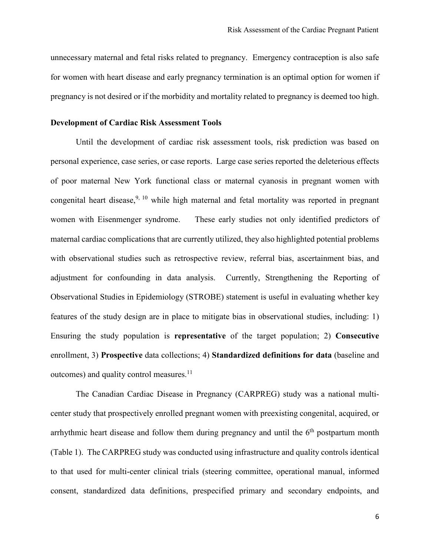unnecessary maternal and fetal risks related to pregnancy. Emergency contraception is also safe for women with heart disease and early pregnancy termination is an optimal option for women if pregnancy is not desired or if the morbidity and mortality related to pregnancy is deemed too high.

#### **Development of Cardiac Risk Assessment Tools**

Until the development of cardiac risk assessment tools, risk prediction was based on personal experience, case series, or case reports. Large case series reported the deleterious effects of poor maternal New York functional class or maternal cyanosis in pregnant women with congenital heart disease,<sup>9, 10</sup> while high maternal and fetal mortality was reported in pregnant women with Eisenmenger syndrome. These early studies not only identified predictors of maternal cardiac complications that are currently utilized, they also highlighted potential problems with observational studies such as retrospective review, referral bias, ascertainment bias, and adjustment for confounding in data analysis. Currently, Strengthening the Reporting of Observational Studies in Epidemiology (STROBE) statement is useful in evaluating whether key features of the study design are in place to mitigate bias in observational studies, including: 1) Ensuring the study population is **representative** of the target population; 2) **Consecutive** enrollment, 3) **Prospective** data collections; 4) **Standardized definitions for data** (baseline and outcomes) and quality control measures.11

The Canadian Cardiac Disease in Pregnancy (CARPREG) study was a national multicenter study that prospectively enrolled pregnant women with preexisting congenital, acquired, or arrhythmic heart disease and follow them during pregnancy and until the  $6<sup>th</sup>$  postpartum month (Table 1). The CARPREG study was conducted using infrastructure and quality controls identical to that used for multi-center clinical trials (steering committee, operational manual, informed consent, standardized data definitions, prespecified primary and secondary endpoints, and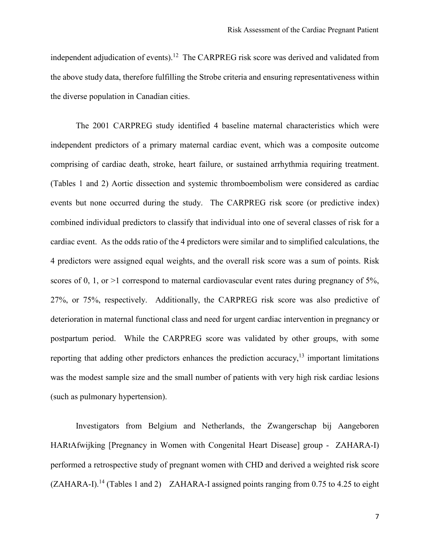independent adjudication of events).<sup>12</sup> The CARPREG risk score was derived and validated from the above study data, therefore fulfilling the Strobe criteria and ensuring representativeness within the diverse population in Canadian cities.

The 2001 CARPREG study identified 4 baseline maternal characteristics which were independent predictors of a primary maternal cardiac event, which was a composite outcome comprising of cardiac death, stroke, heart failure, or sustained arrhythmia requiring treatment. (Tables 1 and 2) Aortic dissection and systemic thromboembolism were considered as cardiac events but none occurred during the study. The CARPREG risk score (or predictive index) combined individual predictors to classify that individual into one of several classes of risk for a cardiac event. As the odds ratio of the 4 predictors were similar and to simplified calculations, the 4 predictors were assigned equal weights, and the overall risk score was a sum of points. Risk scores of 0, 1, or  $>1$  correspond to maternal cardiovascular event rates during pregnancy of 5%, 27%, or 75%, respectively. Additionally, the CARPREG risk score was also predictive of deterioration in maternal functional class and need for urgent cardiac intervention in pregnancy or postpartum period. While the CARPREG score was validated by other groups, with some reporting that adding other predictors enhances the prediction accuracy,<sup>13</sup> important limitations was the modest sample size and the small number of patients with very high risk cardiac lesions (such as pulmonary hypertension).

Investigators from Belgium and Netherlands, the Zwangerschap bij Aangeboren HARtAfwijking [Pregnancy in Women with Congenital Heart Disease] group - ZAHARA-I) performed a retrospective study of pregnant women with CHD and derived a weighted risk score  $(ZAHARA-I).<sup>14</sup>$  (Tables 1 and 2) ZAHARA-I assigned points ranging from 0.75 to 4.25 to eight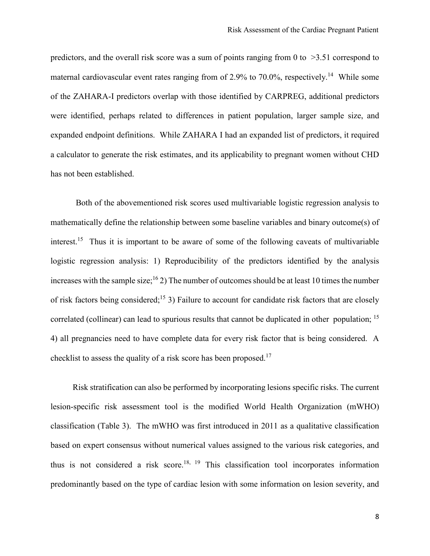predictors, and the overall risk score was a sum of points ranging from 0 to  $>3.51$  correspond to maternal cardiovascular event rates ranging from of 2.9% to 70.0%, respectively.<sup>14</sup> While some of the ZAHARA-I predictors overlap with those identified by CARPREG, additional predictors were identified, perhaps related to differences in patient population, larger sample size, and expanded endpoint definitions. While ZAHARA I had an expanded list of predictors, it required a calculator to generate the risk estimates, and its applicability to pregnant women without CHD has not been established.

Both of the abovementioned risk scores used multivariable logistic regression analysis to mathematically define the relationship between some baseline variables and binary outcome(s) of interest.15 Thus it is important to be aware of some of the following caveats of multivariable logistic regression analysis: 1) Reproducibility of the predictors identified by the analysis increases with the sample size;<sup>16</sup> 2) The number of outcomes should be at least 10 times the number of risk factors being considered;<sup>15</sup> 3) Failure to account for candidate risk factors that are closely correlated (collinear) can lead to spurious results that cannot be duplicated in other population; <sup>15</sup> 4) all pregnancies need to have complete data for every risk factor that is being considered. A checklist to assess the quality of a risk score has been proposed.<sup>17</sup>

Risk stratification can also be performed by incorporating lesions specific risks. The current lesion-specific risk assessment tool is the modified World Health Organization (mWHO) classification (Table 3). The mWHO was first introduced in 2011 as a qualitative classification based on expert consensus without numerical values assigned to the various risk categories, and thus is not considered a risk score.<sup>18, 19</sup> This classification tool incorporates information predominantly based on the type of cardiac lesion with some information on lesion severity, and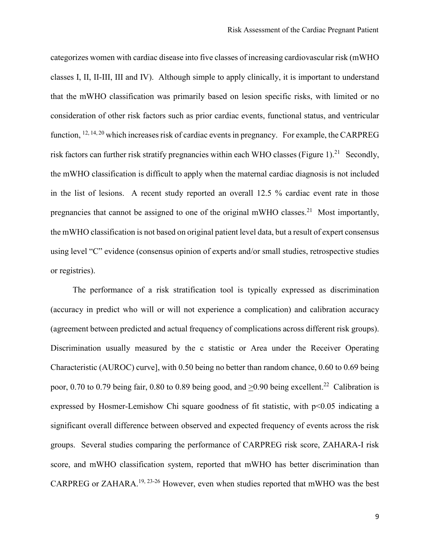categorizes women with cardiac disease into five classes of increasing cardiovascular risk (mWHO classes I, II, II-III, III and IV). Although simple to apply clinically, it is important to understand that the mWHO classification was primarily based on lesion specific risks, with limited or no consideration of other risk factors such as prior cardiac events, functional status, and ventricular function,  $^{12, 14, 20}$  which increases risk of cardiac events in pregnancy. For example, the CARPREG risk factors can further risk stratify pregnancies within each WHO classes (Figure 1).<sup>21</sup> Secondly, the mWHO classification is difficult to apply when the maternal cardiac diagnosis is not included in the list of lesions. A recent study reported an overall 12.5 % cardiac event rate in those pregnancies that cannot be assigned to one of the original mWHO classes.<sup>21</sup> Most importantly, the mWHO classification is not based on original patient level data, but a result of expert consensus using level "C" evidence (consensus opinion of experts and/or small studies, retrospective studies or registries).

The performance of a risk stratification tool is typically expressed as discrimination (accuracy in predict who will or will not experience a complication) and calibration accuracy (agreement between predicted and actual frequency of complications across different risk groups). Discrimination usually measured by the c statistic or Area under the Receiver Operating Characteristic (AUROC) curve], with 0.50 being no better than random chance, 0.60 to 0.69 being poor, 0.70 to 0.79 being fair, 0.80 to 0.89 being good, and  $\geq$ 0.90 being excellent.<sup>22</sup> Calibration is expressed by Hosmer-Lemishow Chi square goodness of fit statistic, with  $p<0.05$  indicating a significant overall difference between observed and expected frequency of events across the risk groups. Several studies comparing the performance of CARPREG risk score, ZAHARA-I risk score, and mWHO classification system, reported that mWHO has better discrimination than CARPREG or ZAHARA.<sup>19, 23-26</sup> However, even when studies reported that mWHO was the best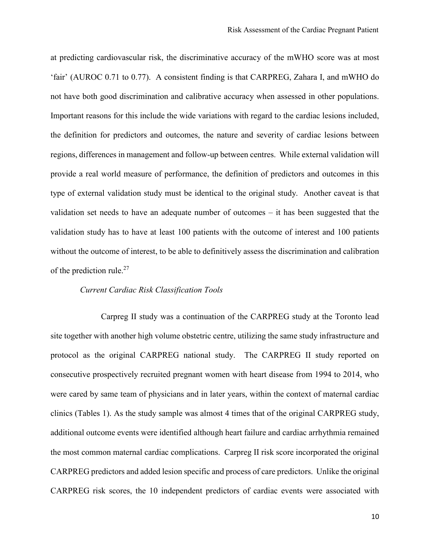at predicting cardiovascular risk, the discriminative accuracy of the mWHO score was at most 'fair' (AUROC 0.71 to 0.77). A consistent finding is that CARPREG, Zahara I, and mWHO do not have both good discrimination and calibrative accuracy when assessed in other populations. Important reasons for this include the wide variations with regard to the cardiac lesions included, the definition for predictors and outcomes, the nature and severity of cardiac lesions between regions, differences in management and follow-up between centres. While external validation will provide a real world measure of performance, the definition of predictors and outcomes in this type of external validation study must be identical to the original study. Another caveat is that validation set needs to have an adequate number of outcomes – it has been suggested that the validation study has to have at least 100 patients with the outcome of interest and 100 patients without the outcome of interest, to be able to definitively assess the discrimination and calibration of the prediction rule.<sup>27</sup>

## *Current Cardiac Risk Classification Tools*

Carpreg II study was a continuation of the CARPREG study at the Toronto lead site together with another high volume obstetric centre, utilizing the same study infrastructure and protocol as the original CARPREG national study. The CARPREG II study reported on consecutive prospectively recruited pregnant women with heart disease from 1994 to 2014, who were cared by same team of physicians and in later years, within the context of maternal cardiac clinics (Tables 1). As the study sample was almost 4 times that of the original CARPREG study, additional outcome events were identified although heart failure and cardiac arrhythmia remained the most common maternal cardiac complications. Carpreg II risk score incorporated the original CARPREG predictors and added lesion specific and process of care predictors. Unlike the original CARPREG risk scores, the 10 independent predictors of cardiac events were associated with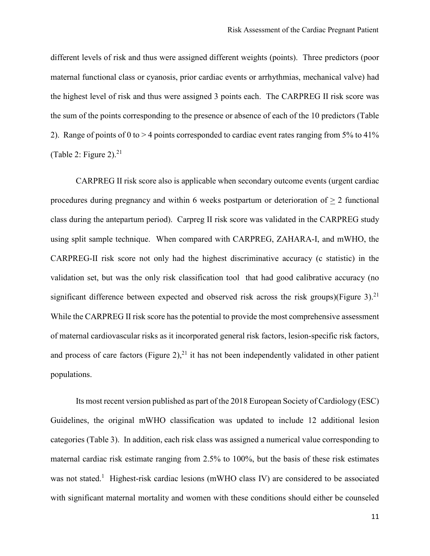different levels of risk and thus were assigned different weights (points). Three predictors (poor maternal functional class or cyanosis, prior cardiac events or arrhythmias, mechanical valve) had the highest level of risk and thus were assigned 3 points each. The CARPREG II risk score was the sum of the points corresponding to the presence or absence of each of the 10 predictors (Table 2). Range of points of 0 to  $> 4$  points corresponded to cardiac event rates ranging from 5% to 41% (Table 2: Figure 2). $21$ 

CARPREG II risk score also is applicable when secondary outcome events (urgent cardiac procedures during pregnancy and within 6 weeks postpartum or deterioration of > 2 functional class during the antepartum period). Carpreg II risk score was validated in the CARPREG study using split sample technique. When compared with CARPREG, ZAHARA-I, and mWHO, the CARPREG-II risk score not only had the highest discriminative accuracy (c statistic) in the validation set, but was the only risk classification tool that had good calibrative accuracy (no significant difference between expected and observed risk across the risk groups)(Figure 3).<sup>21</sup> While the CARPREG II risk score has the potential to provide the most comprehensive assessment of maternal cardiovascular risks as it incorporated general risk factors, lesion-specific risk factors, and process of care factors (Figure 2), $^{21}$  it has not been independently validated in other patient populations.

Its most recent version published as part of the 2018 European Society of Cardiology (ESC) Guidelines, the original mWHO classification was updated to include 12 additional lesion categories (Table 3). In addition, each risk class was assigned a numerical value corresponding to maternal cardiac risk estimate ranging from 2.5% to 100%, but the basis of these risk estimates was not stated.<sup>1</sup> Highest-risk cardiac lesions (mWHO class IV) are considered to be associated with significant maternal mortality and women with these conditions should either be counseled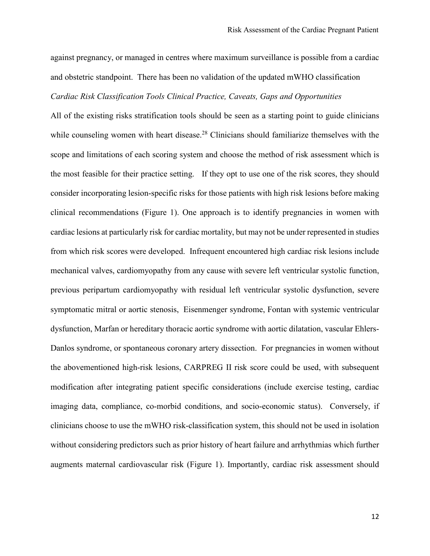against pregnancy, or managed in centres where maximum surveillance is possible from a cardiac and obstetric standpoint. There has been no validation of the updated mWHO classification *Cardiac Risk Classification Tools Clinical Practice, Caveats, Gaps and Opportunities*

All of the existing risks stratification tools should be seen as a starting point to guide clinicians while counseling women with heart disease.<sup>28</sup> Clinicians should familiarize themselves with the scope and limitations of each scoring system and choose the method of risk assessment which is the most feasible for their practice setting. If they opt to use one of the risk scores, they should consider incorporating lesion-specific risks for those patients with high risk lesions before making clinical recommendations (Figure 1). One approach is to identify pregnancies in women with cardiac lesions at particularly risk for cardiac mortality, but may not be under represented in studies from which risk scores were developed. Infrequent encountered high cardiac risk lesions include mechanical valves, cardiomyopathy from any cause with severe left ventricular systolic function, previous peripartum cardiomyopathy with residual left ventricular systolic dysfunction, severe symptomatic mitral or aortic stenosis, Eisenmenger syndrome, Fontan with systemic ventricular dysfunction, Marfan or hereditary thoracic aortic syndrome with aortic dilatation, vascular Ehlers-Danlos syndrome, or spontaneous coronary artery dissection. For pregnancies in women without the abovementioned high-risk lesions, CARPREG II risk score could be used, with subsequent modification after integrating patient specific considerations (include exercise testing, cardiac imaging data, compliance, co-morbid conditions, and socio-economic status). Conversely, if clinicians choose to use the mWHO risk-classification system, this should not be used in isolation without considering predictors such as prior history of heart failure and arrhythmias which further augments maternal cardiovascular risk (Figure 1). Importantly, cardiac risk assessment should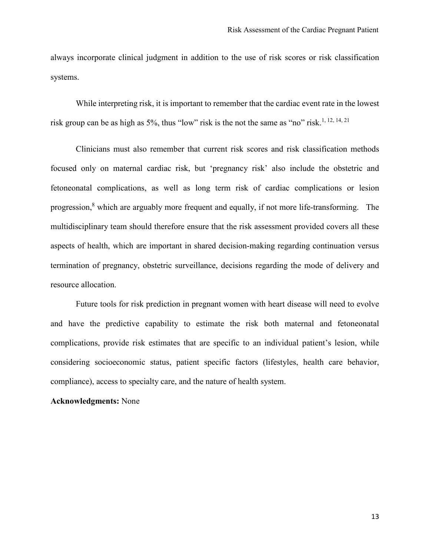always incorporate clinical judgment in addition to the use of risk scores or risk classification systems.

While interpreting risk, it is important to remember that the cardiac event rate in the lowest risk group can be as high as 5%, thus "low" risk is the not the same as "no" risk.<sup>1, 12, 14, 21</sup>

Clinicians must also remember that current risk scores and risk classification methods focused only on maternal cardiac risk, but 'pregnancy risk' also include the obstetric and fetoneonatal complications, as well as long term risk of cardiac complications or lesion progression,<sup>8</sup> which are arguably more frequent and equally, if not more life-transforming. The multidisciplinary team should therefore ensure that the risk assessment provided covers all these aspects of health, which are important in shared decision-making regarding continuation versus termination of pregnancy, obstetric surveillance, decisions regarding the mode of delivery and resource allocation.

Future tools for risk prediction in pregnant women with heart disease will need to evolve and have the predictive capability to estimate the risk both maternal and fetoneonatal complications, provide risk estimates that are specific to an individual patient's lesion, while considering socioeconomic status, patient specific factors (lifestyles, health care behavior, compliance), access to specialty care, and the nature of health system.

#### **Acknowledgments:** None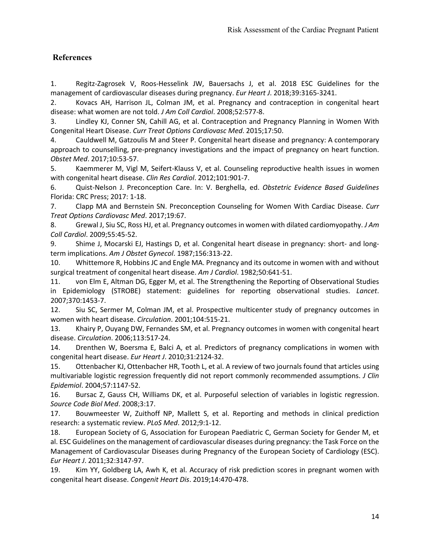# **References**

1. Regitz-Zagrosek V, Roos-Hesselink JW, Bauersachs J, et al. 2018 ESC Guidelines for the management of cardiovascular diseases during pregnancy. *Eur Heart J*. 2018;39:3165-3241.

2. Kovacs AH, Harrison JL, Colman JM, et al. Pregnancy and contraception in congenital heart disease: what women are not told. *J Am Coll Cardiol*. 2008;52:577-8.

3. Lindley KJ, Conner SN, Cahill AG, et al. Contraception and Pregnancy Planning in Women With Congenital Heart Disease. *Curr Treat Options Cardiovasc Med*. 2015;17:50.

4. Cauldwell M, Gatzoulis M and Steer P. Congenital heart disease and pregnancy: A contemporary approach to counselling, pre-pregnancy investigations and the impact of pregnancy on heart function. *Obstet Med*. 2017;10:53-57.

5. Kaemmerer M, Vigl M, Seifert-Klauss V, et al. Counseling reproductive health issues in women with congenital heart disease. *Clin Res Cardiol*. 2012;101:901-7.

6. Quist-Nelson J. Preconception Care. In: V. Berghella, ed. *Obstetric Evidence Based Guidelines* Florida: CRC Press; 2017: 1-18.

7. Clapp MA and Bernstein SN. Preconception Counseling for Women With Cardiac Disease. *Curr Treat Options Cardiovasc Med*. 2017;19:67.

8. Grewal J, Siu SC, Ross HJ, et al. Pregnancy outcomes in women with dilated cardiomyopathy. *J Am Coll Cardiol*. 2009;55:45-52.

9. Shime J, Mocarski EJ, Hastings D, et al. Congenital heart disease in pregnancy: short- and longterm implications. *Am J Obstet Gynecol*. 1987;156:313-22.

10. Whittemore R, Hobbins JC and Engle MA. Pregnancy and its outcome in women with and without surgical treatment of congenital heart disease. *Am J Cardiol*. 1982;50:641-51.

11. von Elm E, Altman DG, Egger M, et al. The Strengthening the Reporting of Observational Studies in Epidemiology (STROBE) statement: guidelines for reporting observational studies. *Lancet*. 2007;370:1453-7.

12. Siu SC, Sermer M, Colman JM, et al. Prospective multicenter study of pregnancy outcomes in women with heart disease. *Circulation*. 2001;104:515-21.

13. Khairy P, Ouyang DW, Fernandes SM, et al. Pregnancy outcomes in women with congenital heart disease. *Circulation*. 2006;113:517-24.

14. Drenthen W, Boersma E, Balci A, et al. Predictors of pregnancy complications in women with congenital heart disease. *Eur Heart J*. 2010;31:2124-32.

15. Ottenbacher KJ, Ottenbacher HR, Tooth L, et al. A review of two journals found that articles using multivariable logistic regression frequently did not report commonly recommended assumptions. *J Clin Epidemiol*. 2004;57:1147-52.

16. Bursac Z, Gauss CH, Williams DK, et al. Purposeful selection of variables in logistic regression. *Source Code Biol Med*. 2008;3:17.

17. Bouwmeester W, Zuithoff NP, Mallett S, et al. Reporting and methods in clinical prediction research: a systematic review. *PLoS Med*. 2012;9:1-12.

18. European Society of G, Association for European Paediatric C, German Society for Gender M, et al. ESC Guidelines on the management of cardiovascular diseases during pregnancy: the Task Force on the Management of Cardiovascular Diseases during Pregnancy of the European Society of Cardiology (ESC). *Eur Heart J*. 2011;32:3147-97.

19. Kim YY, Goldberg LA, Awh K, et al. Accuracy of risk prediction scores in pregnant women with congenital heart disease. *Congenit Heart Dis*. 2019;14:470-478.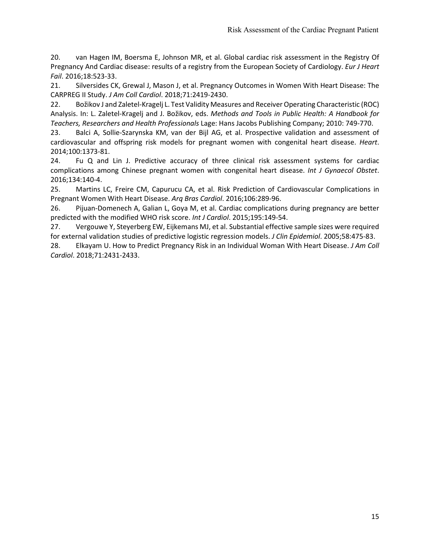20. van Hagen IM, Boersma E, Johnson MR, et al. Global cardiac risk assessment in the Registry Of Pregnancy And Cardiac disease: results of a registry from the European Society of Cardiology. *Eur J Heart Fail*. 2016;18:523-33.

21. Silversides CK, Grewal J, Mason J, et al. Pregnancy Outcomes in Women With Heart Disease: The CARPREG II Study. *J Am Coll Cardiol*. 2018;71:2419-2430.

22. Božikov J and Zaletel-Kragelj L. Test Validity Measures and Receiver Operating Characteristic (ROC) Analysis. In: L. Zaletel-Kragelj and J. Božikov, eds. *Methods and Tools in Public Health: A Handbook for Teachers, Researchers and Health Professionals* Lage: Hans Jacobs Publishing Company; 2010: 749-770.

23. Balci A, Sollie-Szarynska KM, van der Bijl AG, et al. Prospective validation and assessment of cardiovascular and offspring risk models for pregnant women with congenital heart disease. *Heart*. 2014;100:1373-81.

24. Fu Q and Lin J. Predictive accuracy of three clinical risk assessment systems for cardiac complications among Chinese pregnant women with congenital heart disease. *Int J Gynaecol Obstet*. 2016;134:140-4.

25. Martins LC, Freire CM, Capurucu CA, et al. Risk Prediction of Cardiovascular Complications in Pregnant Women With Heart Disease. *Arq Bras Cardiol*. 2016;106:289-96.

26. Pijuan-Domenech A, Galian L, Goya M, et al. Cardiac complications during pregnancy are better predicted with the modified WHO risk score. *Int J Cardiol*. 2015;195:149-54.

27. Vergouwe Y, Steyerberg EW, Eijkemans MJ, et al. Substantial effective sample sizes were required for external validation studies of predictive logistic regression models. *J Clin Epidemiol*. 2005;58:475-83.

28. Elkayam U. How to Predict Pregnancy Risk in an Individual Woman With Heart Disease. *J Am Coll Cardiol*. 2018;71:2431-2433.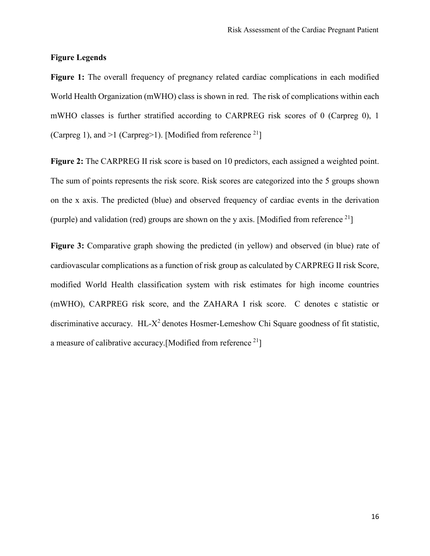## **Figure Legends**

**Figure 1:** The overall frequency of pregnancy related cardiac complications in each modified World Health Organization (mWHO) class is shown in red. The risk of complications within each mWHO classes is further stratified according to CARPREG risk scores of 0 (Carpreg 0), 1 (Carpreg 1), and  $>1$  (Carpreg 1). [Modified from reference  $^{21}$ ]

**Figure 2:** The CARPREG II risk score is based on 10 predictors, each assigned a weighted point. The sum of points represents the risk score. Risk scores are categorized into the 5 groups shown on the x axis. The predicted (blue) and observed frequency of cardiac events in the derivation (purple) and validation (red) groups are shown on the y axis. [Modified from reference  $^{21}$ ]

**Figure 3:** Comparative graph showing the predicted (in yellow) and observed (in blue) rate of cardiovascular complications as a function of risk group as calculated by CARPREG II risk Score, modified World Health classification system with risk estimates for high income countries (mWHO), CARPREG risk score, and the ZAHARA I risk score. C denotes c statistic or discriminative accuracy. HL-X<sup>2</sup> denotes Hosmer-Lemeshow Chi Square goodness of fit statistic, a measure of calibrative accuracy. [Modified from reference  $2<sup>1</sup>$ ]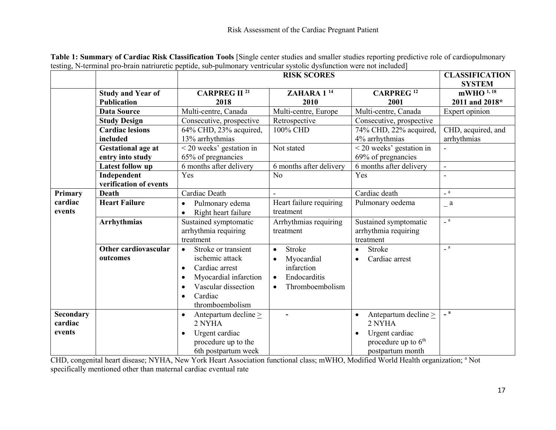|                  |                           | <b>RISK SCORES</b>                     |                              | <b>CLASSIFICATION</b>                  |                            |
|------------------|---------------------------|----------------------------------------|------------------------------|----------------------------------------|----------------------------|
|                  |                           |                                        |                              |                                        | <b>SYSTEM</b>              |
|                  | <b>Study and Year of</b>  | <b>CARPREG II<sup>21</sup></b>         | ZAHARA 1 <sup>14</sup>       | <b>CARPREG</b> <sup>12</sup>           | mWHO 1, 18                 |
|                  | <b>Publication</b>        | 2018                                   | 2010                         | 2001                                   | 2011 and 2018*             |
|                  | <b>Data Source</b>        | Multi-centre, Canada                   | Multi-centre, Europe         | Multi-centre, Canada                   | Expert opinion             |
|                  | <b>Study Design</b>       | Consecutive, prospective               | Retrospective                | Consecutive, prospective               |                            |
|                  | <b>Cardiac lesions</b>    | 64% CHD, 23% acquired,                 | 100% CHD                     | 74% CHD, 22% acquired,                 | CHD, acquired, and         |
|                  | included                  | 13% arrhythmias                        |                              | 4% arrhythmias                         | arrhythmias                |
|                  | <b>Gestational age at</b> | $<$ 20 weeks' gestation in             | Not stated                   | < 20 weeks' gestation in               |                            |
|                  | entry into study          | 65% of pregnancies                     |                              | 69% of pregnancies                     |                            |
|                  | Latest follow up          | 6 months after delivery                | 6 months after delivery      | 6 months after delivery                | $\blacksquare$             |
|                  | Independent               | Yes                                    | N <sub>o</sub>               | Yes                                    |                            |
|                  | verification of events    |                                        |                              |                                        |                            |
| Primary          | <b>Death</b>              | Cardiac Death                          | L.                           | Cardiac death                          | $\overline{\phantom{a}}$ a |
| cardiac          | <b>Heart Failure</b>      | Pulmonary edema                        | Heart failure requiring      | Pulmonary oedema                       | a                          |
| events           |                           | Right heart failure<br>$\bullet$       | treatment                    |                                        |                            |
|                  | <b>Arrhythmias</b>        | Sustained symptomatic                  | Arrhythmias requiring        | Sustained symptomatic                  | $\overline{\phantom{a}}$ a |
|                  |                           | arrhythmia requiring                   | treatment                    | arrhythmia requiring                   |                            |
|                  |                           | treatment                              |                              | treatment                              |                            |
|                  | Other cardiovascular      | Stroke or transient                    | Stroke                       | Stroke<br>$\bullet$                    | $\overline{\phantom{a}}$ a |
|                  | outcomes                  | ischemic attack                        | Myocardial                   | Cardiac arrest                         |                            |
|                  |                           | Cardiac arrest<br>$\bullet$            | infarction                   |                                        |                            |
|                  |                           | Myocardial infarction<br>$\bullet$     | Endocarditis<br>$\bullet$    |                                        |                            |
|                  |                           | Vascular dissection                    | Thromboembolism<br>$\bullet$ |                                        |                            |
|                  |                           | Cardiac<br>$\bullet$                   |                              |                                        |                            |
|                  |                           | thromboembolism                        |                              |                                        |                            |
| <b>Secondary</b> |                           | Antepartum decline $\geq$<br>$\bullet$ |                              | Antepartum decline $\geq$<br>$\bullet$ | $\sqrt{a}$                 |
| cardiac          |                           | 2 NYHA                                 |                              | 2 NYHA                                 |                            |
| events           |                           | Urgent cardiac<br>٠                    |                              | Urgent cardiac                         |                            |
|                  |                           | procedure up to the                    |                              | procedure up to 6 <sup>th</sup>        |                            |
|                  |                           | 6th postpartum week                    |                              | postpartum month                       |                            |

**Table 1: Summary of Cardiac Risk Classification Tools** [Single center studies and smaller studies reporting predictive role of cardiopulmonary testing, N-terminal pro-brain natriuretic peptide, sub-pulmonary ventricular systolic dysfunction were not included]

CHD, congenital heart disease; NYHA, New York Heart Association functional class; mWHO, Modified World Health organization; a Not specifically mentioned other than maternal cardiac eventual rate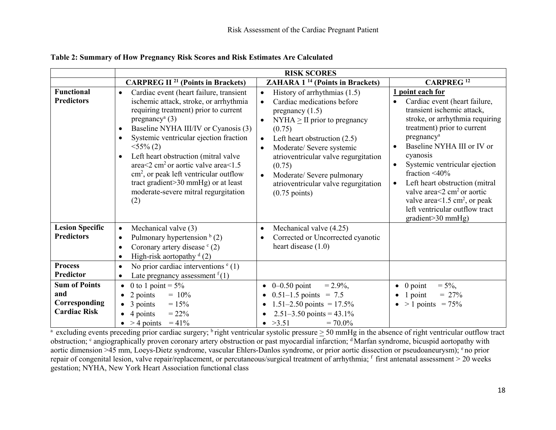|                                                                     | <b>RISK SCORES</b>                                                                                                                                                                                                                                                                                                                                                                                                                                                                                                                                                 |                                                                                                                                                                                                                                                                                                                                                                                                        |                                                                                                                                                                                                                                                                                                                                                                                                                                                                                                                |
|---------------------------------------------------------------------|--------------------------------------------------------------------------------------------------------------------------------------------------------------------------------------------------------------------------------------------------------------------------------------------------------------------------------------------------------------------------------------------------------------------------------------------------------------------------------------------------------------------------------------------------------------------|--------------------------------------------------------------------------------------------------------------------------------------------------------------------------------------------------------------------------------------------------------------------------------------------------------------------------------------------------------------------------------------------------------|----------------------------------------------------------------------------------------------------------------------------------------------------------------------------------------------------------------------------------------------------------------------------------------------------------------------------------------------------------------------------------------------------------------------------------------------------------------------------------------------------------------|
|                                                                     | <b>CARPREG II<sup>21</sup></b> (Points in Brackets)                                                                                                                                                                                                                                                                                                                                                                                                                                                                                                                | <b>ZAHARA 1<sup>14</sup></b> (Points in Brackets)                                                                                                                                                                                                                                                                                                                                                      | <b>CARPREG</b> <sup>12</sup>                                                                                                                                                                                                                                                                                                                                                                                                                                                                                   |
| <b>Functional</b><br><b>Predictors</b>                              | Cardiac event (heart failure, transient<br>$\bullet$<br>ischemic attack, stroke, or arrhythmia<br>requiring treatment) prior to current<br>pregnancy <sup>a</sup> $(3)$<br>Baseline NYHA III/IV or Cyanosis (3)<br>$\bullet$<br>Systemic ventricular ejection fraction<br>$\bullet$<br>$<$ 55% (2)<br>Left heart obstruction (mitral valve<br>$\bullet$<br>area $\leq$ 2 cm <sup>2</sup> or aortic valve area $\leq$ 1.5<br>$\text{cm}^2$ , or peak left ventricular outflow<br>tract gradient>30 mmHg) or at least<br>moderate-severe mitral regurgitation<br>(2) | History of arrhythmias $(1.5)$<br>$\bullet$<br>Cardiac medications before<br>pregnancy $(1.5)$<br>$NYHA \geq II$ prior to pregnancy<br>$\bullet$<br>(0.75)<br>Left heart obstruction $(2.5)$<br>Moderate/ Severe systemic<br>$\bullet$<br>atrioventricular valve regurgitation<br>(0.75)<br>Moderate/ Severe pulmonary<br>$\bullet$<br>atrioventricular valve regurgitation<br>$(0.75 \text{ points})$ | point each for<br>Cardiac event (heart failure,<br>transient ischemic attack,<br>stroke, or arrhythmia requiring<br>treatment) prior to current<br>pregnancy <sup>a</sup><br>Baseline NYHA III or IV or<br>$\bullet$<br>cyanosis<br>Systemic ventricular ejection<br>$\bullet$<br>fraction $\leq 40\%$<br>Left heart obstruction (mitral<br>$\bullet$<br>valve area $\leq$ 2 cm <sup>2</sup> or aortic<br>valve area<1.5 cm <sup>2</sup> , or peak<br>left ventricular outflow tract<br>$gradient > 30 mmHg$ ) |
| <b>Lesion Specific</b><br><b>Predictors</b>                         | Mechanical valve (3)<br>$\bullet$<br>Pulmonary hypertension $b$ (2)<br>$\bullet$<br>Coronary artery disease $(c)$<br>$\bullet$<br>High-risk aortopathy $d(2)$<br>$\bullet$                                                                                                                                                                                                                                                                                                                                                                                         | Mechanical valve (4.25)<br>$\bullet$<br>Corrected or Uncorrected cyanotic<br>heart disease $(1.0)$                                                                                                                                                                                                                                                                                                     |                                                                                                                                                                                                                                                                                                                                                                                                                                                                                                                |
| <b>Process</b><br>Predictor                                         | No prior cardiac interventions $e(1)$<br>$\bullet$<br>Late pregnancy assessment $f(1)$<br>$\bullet$                                                                                                                                                                                                                                                                                                                                                                                                                                                                |                                                                                                                                                                                                                                                                                                                                                                                                        |                                                                                                                                                                                                                                                                                                                                                                                                                                                                                                                |
| <b>Sum of Points</b><br>and<br>Corresponding<br><b>Cardiac Risk</b> | 0 to 1 point = $5\%$<br>$\bullet$<br>2 points<br>$= 10\%$<br>$\bullet$<br>3 points<br>$= 15\%$<br>4 points<br>$= 22\%$<br>$\bullet$ > 4 points = 41%                                                                                                                                                                                                                                                                                                                                                                                                               | • $0-0.50$ point<br>$= 2.9\%,$<br>$0.51-1.5$ points = 7.5<br>$\bullet$<br>1.51–2.50 points = $17.5\%$<br>2.51–3.50 points = $43.1\%$<br>• $>3.51$<br>$= 70.0\%$                                                                                                                                                                                                                                        | $= 5\%,$<br>$0$ point<br>$\bullet$<br>$\bullet$ 1 point<br>$= 27\%$<br>$\bullet$ > 1 points = 75%                                                                                                                                                                                                                                                                                                                                                                                                              |

#### **Table 2: Summary of How Pregnancy Risk Scores and Risk Estimates Are Calculated**

<sup>a</sup> excluding events preceding prior cardiac surgery; <sup>b</sup> right ventricular systolic pressure  $\geq$  50 mmHg in the absence of right ventricular outflow tract obstruction; <sup>c</sup> angiographically proven coronary artery obstruction or past myocardial infarction; <sup>d</sup> Marfan syndrome, bicuspid aortopathy with aortic dimension >45 mm, Loeys-Dietz syndrome, vascular Ehlers-Danlos syndrome, or prior aortic dissection or pseudoaneurysm); <sup>e</sup> no prior repair of congenital lesion, valve repair/replacement, or percutaneous/surgical treatment of arrhythmia; f first antenatal assessment > 20 weeks gestation; NYHA, New York Heart Association functional class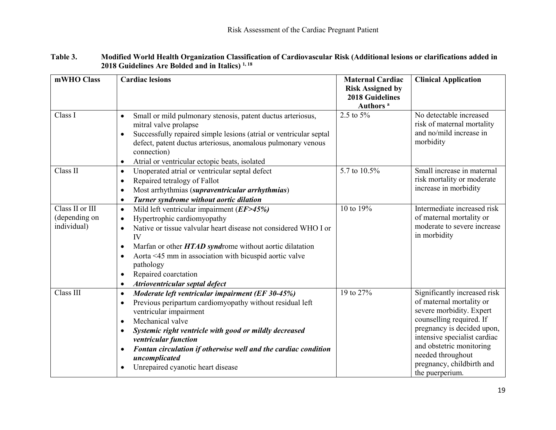| mWHO Class                                      | <b>Cardiac lesions</b>                                                                                                                                                                                                                                                                                                                                                                                                                | <b>Maternal Cardiac</b><br><b>Risk Assigned by</b><br><b>2018 Guidelines</b><br>Authors <sup>a</sup> | <b>Clinical Application</b>                                                                                                                                                                                                                                                     |
|-------------------------------------------------|---------------------------------------------------------------------------------------------------------------------------------------------------------------------------------------------------------------------------------------------------------------------------------------------------------------------------------------------------------------------------------------------------------------------------------------|------------------------------------------------------------------------------------------------------|---------------------------------------------------------------------------------------------------------------------------------------------------------------------------------------------------------------------------------------------------------------------------------|
| Class I                                         | Small or mild pulmonary stenosis, patent ductus arteriosus,<br>$\bullet$<br>mitral valve prolapse<br>Successfully repaired simple lesions (atrial or ventricular septal<br>$\bullet$<br>defect, patent ductus arteriosus, anomalous pulmonary venous<br>connection)<br>Atrial or ventricular ectopic beats, isolated<br>$\bullet$                                                                                                     | 2.5 to 5%                                                                                            | No detectable increased<br>risk of maternal mortality<br>and no/mild increase in<br>morbidity                                                                                                                                                                                   |
| Class II                                        | Unoperated atrial or ventricular septal defect<br>$\bullet$<br>Repaired tetralogy of Fallot<br>$\bullet$<br>Most arrhythmias (supraventricular arrhythmias)<br>$\bullet$<br>Turner syndrome without aortic dilation<br>$\bullet$                                                                                                                                                                                                      | 5.7 to 10.5%                                                                                         | Small increase in maternal<br>risk mortality or moderate<br>increase in morbidity                                                                                                                                                                                               |
| Class II or III<br>(depending on<br>individual) | Mild left ventricular impairment $(EF > 45%)$<br>$\bullet$<br>Hypertrophic cardiomyopathy<br>$\bullet$<br>Native or tissue valvular heart disease not considered WHO I or<br>IV<br>Marfan or other HTAD syndrome without aortic dilatation<br>$\bullet$<br>Aorta <45 mm in association with bicuspid aortic valve<br>$\bullet$<br>pathology<br>Repaired coarctation<br>$\bullet$<br>Atrioventricular septal defect<br>$\bullet$       | 10 to 19%                                                                                            | Intermediate increased risk<br>of maternal mortality or<br>moderate to severe increase<br>in morbidity                                                                                                                                                                          |
| Class III                                       | Moderate left ventricular impairment (EF 30-45%)<br>$\bullet$<br>Previous peripartum cardiomyopathy without residual left<br>$\bullet$<br>ventricular impairment<br>Mechanical valve<br>$\bullet$<br>Systemic right ventricle with good or mildly decreased<br>$\bullet$<br>ventricular function<br>Fontan circulation if otherwise well and the cardiac condition<br>uncomplicated<br>Unrepaired cyanotic heart disease<br>$\bullet$ | 19 to 27%                                                                                            | Significantly increased risk<br>of maternal mortality or<br>severe morbidity. Expert<br>counselling required. If<br>pregnancy is decided upon,<br>intensive specialist cardiac<br>and obstetric monitoring<br>needed throughout<br>pregnancy, childbirth and<br>the puerperium. |

## **Table 3. Modified World Health Organization Classification of Cardiovascular Risk (Additional lesions or clarifications added in 2018 Guidelines Are Bolded and in Italics) 1, 18**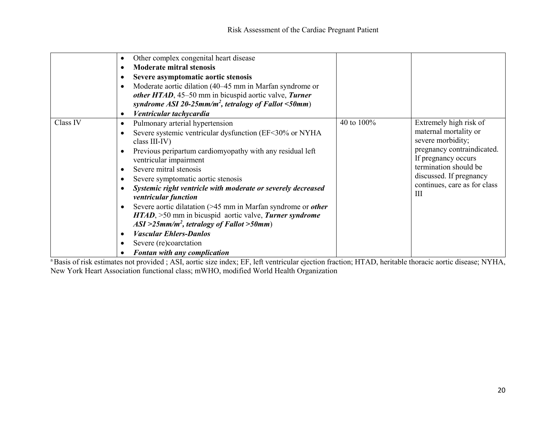|          | Other complex congenital heart disease<br>$\bullet$<br><b>Moderate mitral stenosis</b><br>Severe asymptomatic aortic stenosis<br>Moderate aortic dilation (40–45 mm in Marfan syndrome or<br>other HTAD, 45–50 mm in bicuspid aortic valve, Turner<br>syndrome ASI 20-25mm/m <sup>2</sup> , tetralogy of Fallot $\leq 50$ mm)                                                                                                                                                                                                                                                                                                                                          |            |                                                                                                                                                                                                                    |
|----------|------------------------------------------------------------------------------------------------------------------------------------------------------------------------------------------------------------------------------------------------------------------------------------------------------------------------------------------------------------------------------------------------------------------------------------------------------------------------------------------------------------------------------------------------------------------------------------------------------------------------------------------------------------------------|------------|--------------------------------------------------------------------------------------------------------------------------------------------------------------------------------------------------------------------|
|          | Ventricular tachycardia                                                                                                                                                                                                                                                                                                                                                                                                                                                                                                                                                                                                                                                |            |                                                                                                                                                                                                                    |
| Class IV | Pulmonary arterial hypertension<br>$\bullet$<br>Severe systemic ventricular dysfunction (EF<30% or NYHA<br>$\bullet$<br>class III-IV)<br>Previous peripartum cardiomy opathy with any residual left<br>ventricular impairment<br>Severe mitral stenosis<br>Severe symptomatic aortic stenosis<br>Systemic right ventricle with moderate or severely decreased<br>ventricular function<br>Severe aortic dilatation $($ >45 mm in Marfan syndrome or <i>other</i><br>HTAD, >50 mm in bicuspid aortic valve, Turner syndrome<br>$ASI > 25mm/m^2$ , tetralogy of Fallot > 50mm)<br><b>Vascular Ehlers-Danlos</b><br>Severe (re)coarctation<br>Fontan with any complication | 40 to 100% | Extremely high risk of<br>maternal mortality or<br>severe morbidity;<br>pregnancy contraindicated.<br>If pregnancy occurs<br>termination should be<br>discussed. If pregnancy<br>continues, care as for class<br>Ш |

<sup>a</sup> Basis of risk estimates not provided ; ASI, aortic size index; EF, left ventricular ejection fraction; HTAD, heritable thoracic aortic disease; NYHA, New York Heart Association functional class; mWHO, modified World Health Organization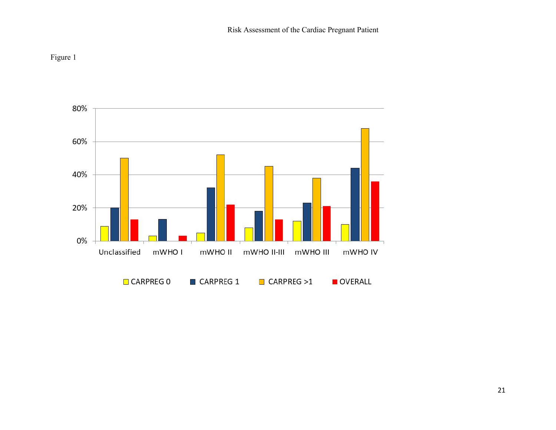

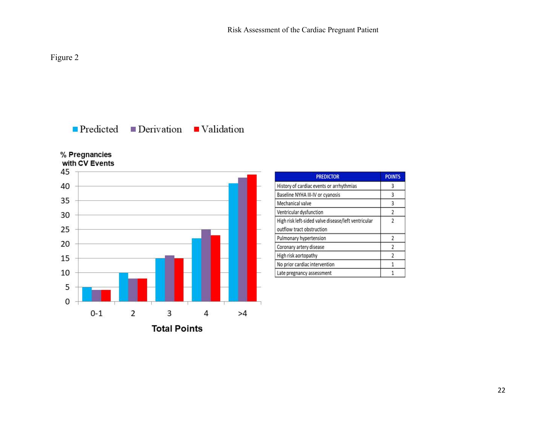# Figure 2

# $\blacksquare$  Predicted  $\blacksquare$  Derivation  $\blacksquare$  Validation

% Pregnancies with CV Events



| <b>PREDICTOR</b>                                                                 | <b>POINTS</b>  |
|----------------------------------------------------------------------------------|----------------|
| History of cardiac events or arrhythmias                                         | 3              |
| Baseline NYHA III-IV or cyanosis                                                 | 3              |
| Mechanical valve                                                                 | 3              |
| Ventricular dysfunction                                                          | 2              |
| High risk left-sided valve disease/left ventricular<br>outflow tract obstruction | $\overline{2}$ |
| Pulmonary hypertension                                                           | 2              |
| Coronary artery disease                                                          | 2              |
| High risk aortopathy                                                             | $\overline{2}$ |
| No prior cardiac intervention                                                    |                |
| Late pregnancy assessment                                                        |                |